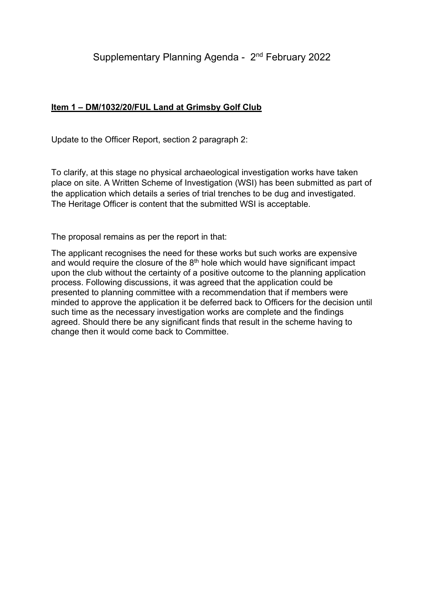## **Item 1 – DM/1032/20/FUL Land at Grimsby Golf Club**

Update to the Officer Report, section 2 paragraph 2:

To clarify, at this stage no physical archaeological investigation works have taken place on site. A Written Scheme of Investigation (WSI) has been submitted as part of the application which details a series of trial trenches to be dug and investigated. The Heritage Officer is content that the submitted WSI is acceptable.

The proposal remains as per the report in that:

The applicant recognises the need for these works but such works are expensive and would require the closure of the  $8<sup>th</sup>$  hole which would have significant impact upon the club without the certainty of a positive outcome to the planning application process. Following discussions, it was agreed that the application could be presented to planning committee with a recommendation that if members were minded to approve the application it be deferred back to Officers for the decision until such time as the necessary investigation works are complete and the findings agreed. Should there be any significant finds that result in the scheme having to change then it would come back to Committee.